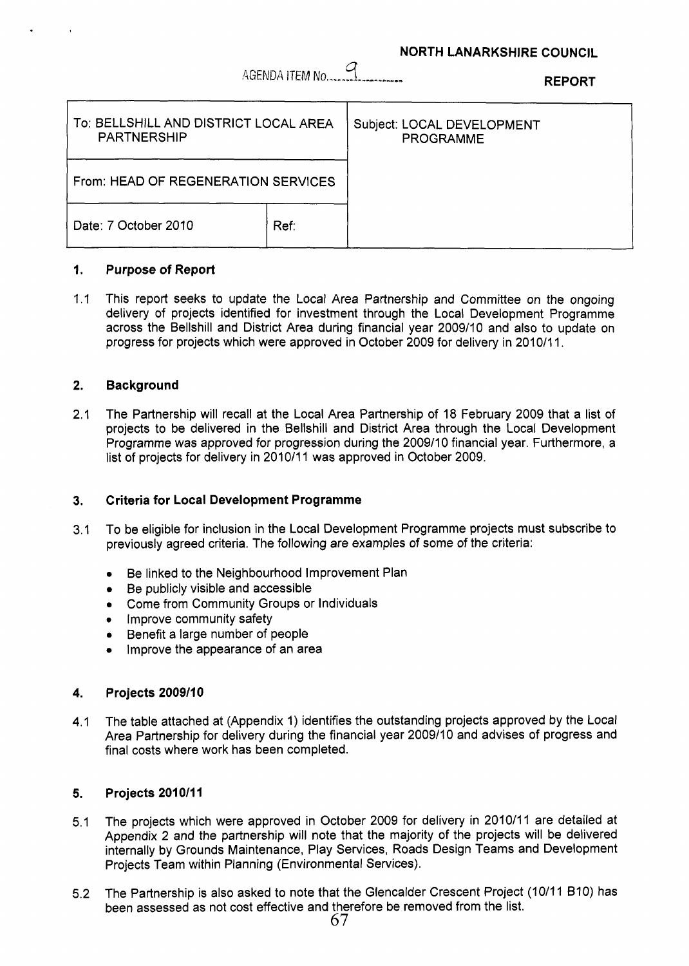### **NORTH LANARKSHIRE COUNCIL**

AGENDA ITEM No.,,..,,,,,,,,,,,,., 4 **REPORT** 

| To: BELLSHILL AND DISTRICT LOCAL AREA<br><b>PARTNERSHIP</b> |      | Subject: LOCAL DEVELOPMENT<br><b>PROGRAMME</b> |
|-------------------------------------------------------------|------|------------------------------------------------|
| From: HEAD OF REGENERATION SERVICES                         |      |                                                |
| Date: 7 October 2010                                        | Ref∵ |                                                |

#### **1. Purpose of Report**

 $1.1$ This report seeks to update the Local Area Partnership and Committee on the ongoing delivery of projects identified for investment through the Local Development Programme across the Bellshill and District Area during financial year 2009/10 and also to update on progress for projects which were approved in October 2009 for delivery in 2010/11.

#### **2. Background**

2.1 The Partnership will recall at the Local Area Partnership of 18 February 2009 that a list of projects to be delivered in the Bellshill and District Area through the Local Development Programme was approved for progression during the 2009/10 financial year. Furthermore, a list of projects for delivery in 2010/11 was approved in October 2009.

#### **3. Criteria for Local Development Programme**

- 3.1 To be eligible for inclusion in the Local Development Programme projects must subscribe to previously agreed criteria. The following are examples of some of the criteria:
	- Be linked to the Neighbourhood Improvement Plan  $\bullet$
	- Be publicly visible and accessible
	- Come from Community Groups or Individuals
	- *0* Improve community safety
	- Benefit a large number of people
	- Improve the appearance of an area  $\bullet$

#### **4. Projects 2009/10**

4.1 The table attached at (Appendix 1) identifies the outstanding projects approved by the Local Area Partnership for delivery during the financial year 2009110 and advises of progress and final costs where work has been completed.

#### **5. Projects 2010/11**

- 5.1 The projects which were approved in October 2009 for delivery in 2010/11 are detailed at Appendix 2 and the partnership will note that the majority of the projects will be delivered internally by Grounds Maintenance, Play Services, Roads Design Teams and Development Projects Team within Planning (Environmental Services).
- **5.2**  The Partnership is also asked to note that the Glencalder Crescent Project (10/11 B10) has been assessed as not cost effective and therefore be removed from the list.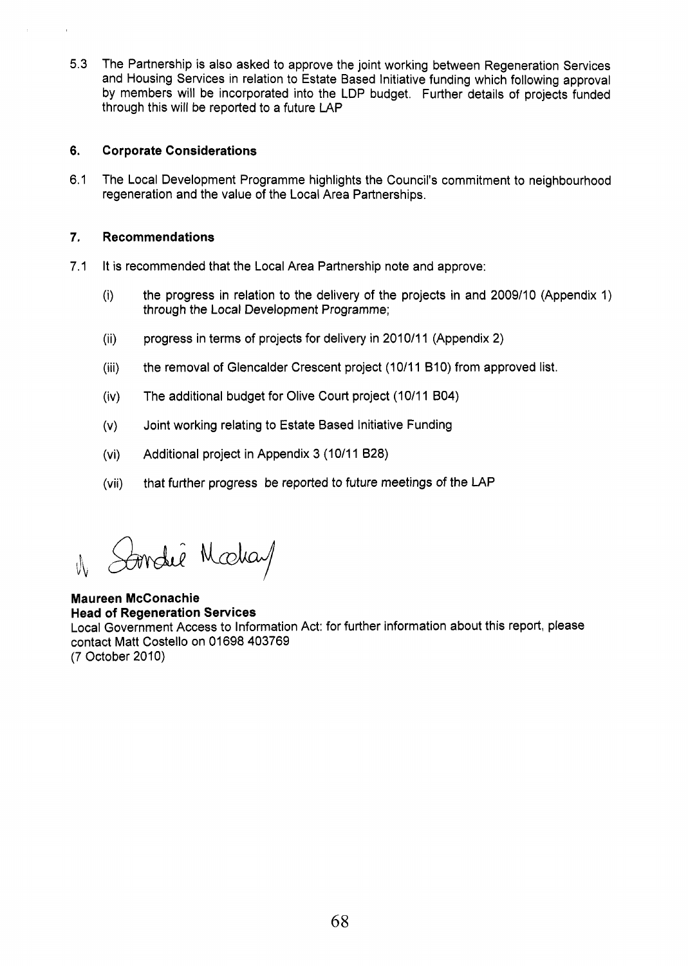5.3 The Partnership is also asked to approve the joint working between Regeneration Services and Housing Services in relation to Estate Based Initiative funding which following approval by members will be incorporated into the LDP budget. Further details of projects funded through this will be reported to a future LAP

#### **6. Corporate Considerations**

6.1 The Local Development Programme highlights the Council's commitment to neighbourhood regeneration and the value of the Local Area Partnerships.

#### **7. Recommendations**

- 7.1 It is recommended that the Local Area Partnership note and approve:
	- $(i)$ the progress in relation to the delivery of the projects in and 2009110 (Appendix 1) through the Local Development Programme;
	- progress in terms of projects for delivery in 2010/11 (Appendix 2)  $(ii)$
	- $(iii)$ the removal of Glencalder Crescent project (10/11 B10) from approved list.
	- The additional budget for Olive Court project (10/11 B04)  $(iv)$
	- Joint working relating to Estate Based Initiative Funding  $(V)$
	- $(vi)$ Additional project in Appendix 3 (10/11 B28)
	- that further progress be reported to future meetings of the LAP  $(vii)$

Soondie Modiay

### **Maureen McConachie Head of Regeneration Services**  Local Government Access to Information Act: for further information about this report, please contact Matt Costello on 01698 403769 (7 October 2010)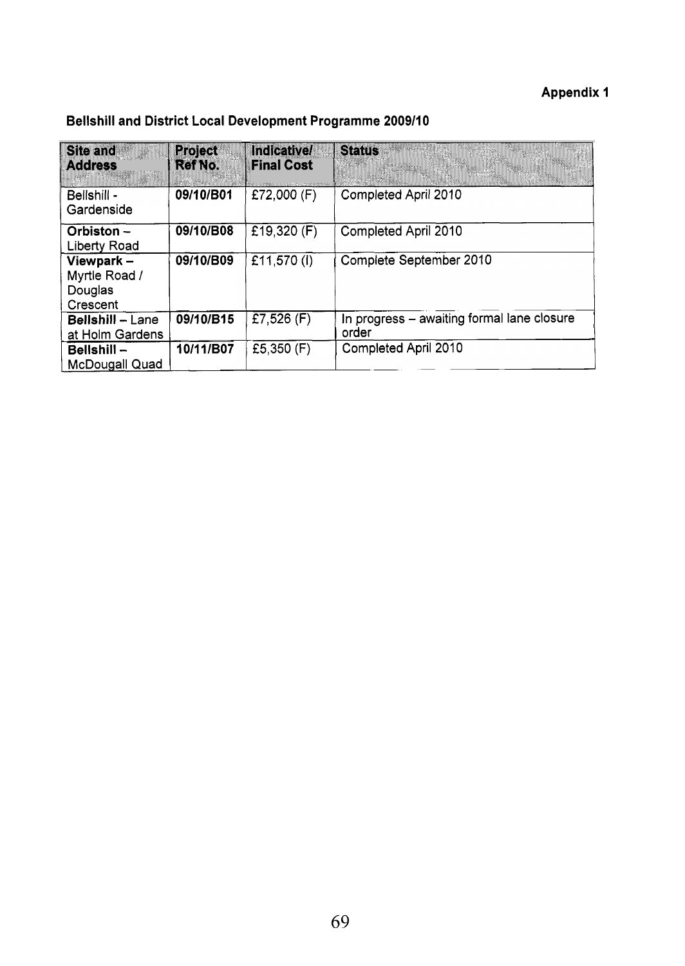## **Appendix 1**

| <b>Site and</b><br><b>Address</b>                    | <b>Project</b><br><b>Ref No.</b> | <b>Indicative/</b><br><b>Final Cost</b> | <b>Status</b>                                       |
|------------------------------------------------------|----------------------------------|-----------------------------------------|-----------------------------------------------------|
| Bellshill -<br>Gardenside                            | 09/10/B01                        | £72,000 (F)                             | Completed April 2010                                |
| Orbiston-<br><b>Liberty Road</b>                     | 09/10/B08                        | £19,320 $(F)$                           | Completed April 2010                                |
| Viewpark $-$<br>Myrtle Road /<br>Douglas<br>Crescent | 09/10/B09                        | £11,570 (I)                             | Complete September 2010                             |
| <b>Bellshill - Lane</b><br>at Holm Gardens           | 09/10/B15                        | £7,526 $(F)$                            | In progress – awaiting formal lane closure<br>order |
| $Bellshill -$<br><b>McDougall Quad</b>               | 10/11/B07                        | £5,350 $(F)$                            | Completed April 2010                                |

## **Bellshill and District Local Development Programme 200911 0**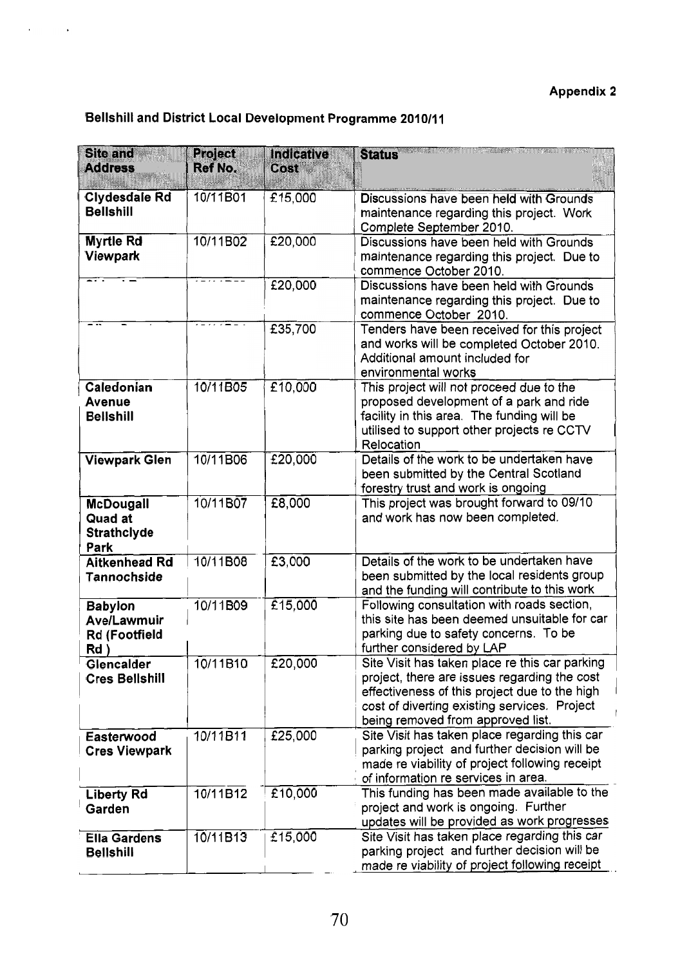## **Appendix 2**

# **Bellshill and District Local Development Programme 201 011 1**

| <b>Site and</b><br><b>Address</b>                                | <b>Project</b><br><b>Ref No.</b> | Indicative<br>Cost    | <b>Status</b>                                                                                                                                                                                                                        |
|------------------------------------------------------------------|----------------------------------|-----------------------|--------------------------------------------------------------------------------------------------------------------------------------------------------------------------------------------------------------------------------------|
| <b>Clydesdale Rd</b><br><b>Bellshill</b>                         | 10/11B01                         | £15,000               | Discussions have been held with Grounds<br>maintenance regarding this project. Work<br>Complete September 2010.                                                                                                                      |
| <b>Myrtle Rd</b><br>Viewpark                                     | 10/11B02                         | £20,000               | Discussions have been held with Grounds<br>maintenance regarding this project. Due to<br>commence October 2010.                                                                                                                      |
|                                                                  | $\cdots$                         | £20,000               | Discussions have been held with Grounds<br>maintenance regarding this project. Due to<br>commence October 2010.                                                                                                                      |
| <b></b>                                                          |                                  | £35,700               | Tenders have been received for this project<br>and works will be completed October 2010.<br>Additional amount included for<br>environmental works                                                                                    |
| Caledonian<br><b>Avenue</b><br><b>Bellshill</b>                  | 10/11B05                         | £10,000               | This project will not proceed due to the<br>proposed development of a park and ride<br>facility in this area. The funding will be<br>utilised to support other projects re CCTV<br>Relocation                                        |
| <b>Viewpark Glen</b>                                             | 10/11B06                         | £20,000               | Details of the work to be undertaken have<br>been submitted by the Central Scotland<br>forestry trust and work is ongoing                                                                                                            |
| <b>McDougall</b><br><b>Quad at</b><br><b>Strathclyde</b><br>Park | 10/11B07                         | £8,000                | This project was brought forward to 09/10<br>and work has now been completed.                                                                                                                                                        |
| <b>Aitkenhead Rd</b><br><b>Tannochside</b>                       | 10/11B08                         | £3,000                | Details of the work to be undertaken have<br>been submitted by the local residents group<br>and the funding will contribute to this work                                                                                             |
| <b>Babylon</b><br>Ave/Lawmuir<br>Rd (Footfield<br>Rd             | 10/11B09                         | $\overline{£}$ 15,000 | Following consultation with roads section,<br>this site has been deemed unsuitable for car<br>parking due to safety concerns. To be<br>further considered by LAP                                                                     |
| Glencalder<br><b>Cres Bellshill</b>                              | 10/11B10                         | £20,000               | Site Visit has taken place re this car parking<br>project, there are issues regarding the cost<br>effectiveness of this project due to the high<br>cost of diverting existing services. Project<br>being removed from approved list. |
| Easterwood<br><b>Cres Viewpark</b>                               | 10/11B11                         | £25,000               | Site Visit has taken place regarding this car<br>parking project and further decision will be<br>made re viability of project following receipt<br>of information re services in area.                                               |
| <b>Liberty Rd</b><br>Garden                                      | 10/11B12                         | £10,000               | This funding has been made available to the<br>project and work is ongoing. Further<br>updates will be provided as work progresses                                                                                                   |
| <b>Ella Gardens</b><br><b>Bellshill</b>                          | 10/11B13                         | £15,000               | Site Visit has taken place regarding this car<br>parking project and further decision will be<br>made re viability of project following receipt                                                                                      |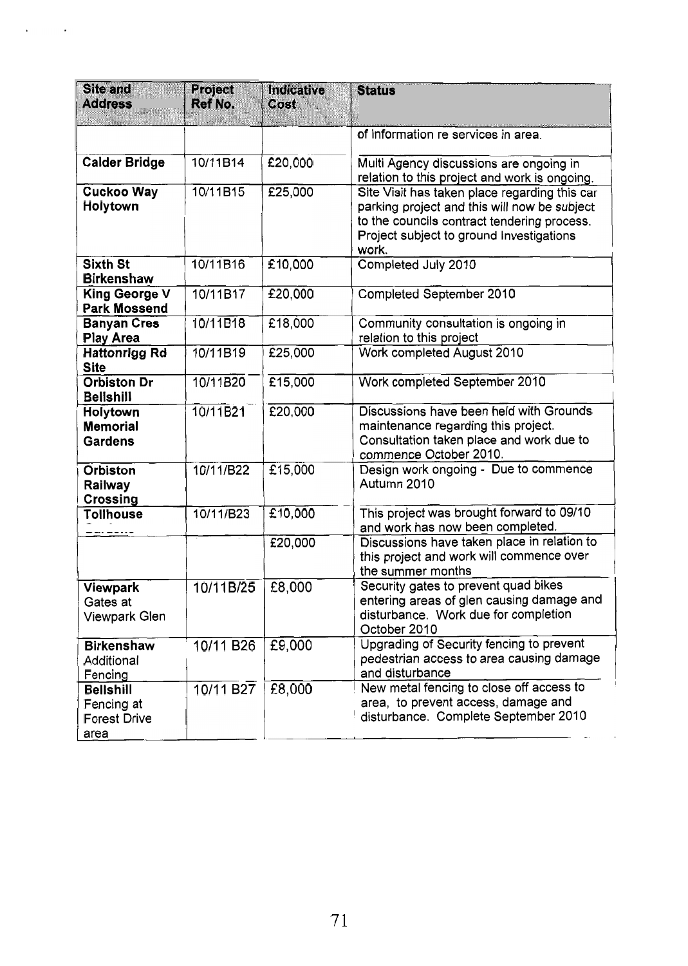| <b>Site and</b><br><b>Address</b>                             | <b>Project</b><br>Ref No. | <b>Indicative</b><br>Cost | <b>Status</b>                                                                                                                                                                                     |
|---------------------------------------------------------------|---------------------------|---------------------------|---------------------------------------------------------------------------------------------------------------------------------------------------------------------------------------------------|
|                                                               |                           |                           | of information re services in area.                                                                                                                                                               |
| <b>Calder Bridge</b>                                          | 10/11B14                  | £20,000                   | Multi Agency discussions are ongoing in<br>relation to this project and work is ongoing.                                                                                                          |
| <b>Cuckoo Way</b><br>Holytown                                 | 10/11B15                  | £25,000                   | Site Visit has taken place regarding this car<br>parking project and this will now be subject<br>to the councils contract tendering process.<br>Project subject to ground Investigations<br>work. |
| <b>Sixth St</b><br><b>Birkenshaw</b>                          | 10/11B16                  | £10,000                   | Completed July 2010                                                                                                                                                                               |
| <b>King George V</b><br><b>Park Mossend</b>                   | 10/11B17                  | £20,000                   | Completed September 2010                                                                                                                                                                          |
| <b>Banyan Cres</b><br><b>Play Area</b>                        | 10/11B18                  | £18,000                   | Community consultation is ongoing in<br>relation to this project                                                                                                                                  |
| <b>Hattonrigg Rd</b><br><b>Site</b>                           | 10/11B19                  | £25,000                   | Work completed August 2010                                                                                                                                                                        |
| <b>Orbiston Dr</b><br><b>Bellshill</b>                        | 10/11B20                  | £15,000                   | Work completed September 2010                                                                                                                                                                     |
| Holytown<br><b>Memorial</b><br><b>Gardens</b>                 | 10/11B21                  | £20,000                   | Discussions have been held with Grounds<br>maintenance regarding this project.<br>Consultation taken place and work due to<br>commence October 2010.                                              |
| <b>Orbiston</b><br>Railway<br><b>Crossing</b>                 | 10/11/B22                 | £15,000                   | Design work ongoing - Due to commence<br>Autumn 2010                                                                                                                                              |
| <b>Tollhouse</b>                                              | 10/11/B23                 | £10,000                   | This project was brought forward to 09/10<br>and work has now been completed.                                                                                                                     |
|                                                               |                           | £20,000                   | Discussions have taken place in relation to<br>this project and work will commence over<br>the summer months                                                                                      |
| Viewpark<br>Gates at<br>Viewpark Glen                         | 10/11B/25                 | £8,000                    | Security gates to prevent quad bikes<br>entering areas of glen causing damage and<br>disturbance. Work due for completion<br>October 2010                                                         |
| <b>Birkenshaw</b><br>Additional<br>Fencing                    | 10/11 B26                 | £9,000                    | Upgrading of Security fencing to prevent<br>pedestrian access to area causing damage<br>and disturbance                                                                                           |
| <b>Bellshill</b><br>Fencing at<br><b>Forest Drive</b><br>area | 10/11 B27                 | £8,000                    | New metal fencing to close off access to<br>area, to prevent access, damage and<br>disturbance. Complete September 2010                                                                           |